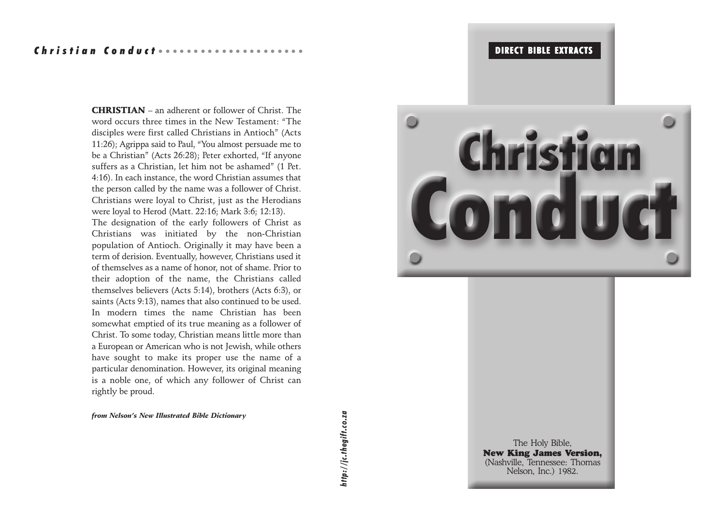## OIRECT BIBLE EXTRACTS IN INCOLLECTION

## Christian Conduct ··················

CHRISTIAN – an adherent or follower of Christ. The word occurs three times in the New Testament: "The disciples were first called Christians in Antioch" (Acts 11:26); Agrippa said to Paul, "You almost persuade me to be a Christian" (Acts 26:28); Peter exhorted, "If anyone suffers as a Christian, let him not be ashamed" (1 Pet. 4:16). In each instance, the word Christian assumes that the person called by the name was a follower of Christ. Christians were loyal to Christ, just as the Herodians were loyal to Herod (Matt. 22:16; Mark 3:6; 12:13).

The designation of the early followers of Christ as Christians was initiated by the non-Christian population of Antioch. Originally it may have been a term of derision. Eventually, however, Christians used it of themselves as a name of honor, not of shame. Prior to their adoption of the name, the Christians called themselves believers (Acts 5:14), brothers (Acts 6:3), or saints (Acts 9:13), names that also continued to be used. In modern times the name Christian has been somewhat emptied of its true meaning as a follower of Christ. To some today, Christian means little more than a European or American who is not Jewish, while others have sought to make its proper use the name of a particular denomination. However, its original meaning is a noble one, of which any follower of Christ can rightly be proud.

*from Nelson's New Illustrated Bible Dictionary*



The Holy Bible, New King James Version, (Nashville, Tennessee: Thomas<br>Nelson. Inc.) 1982. **28** Nelson, Inc.) 1982.

# *http://jc.thegift.co.za*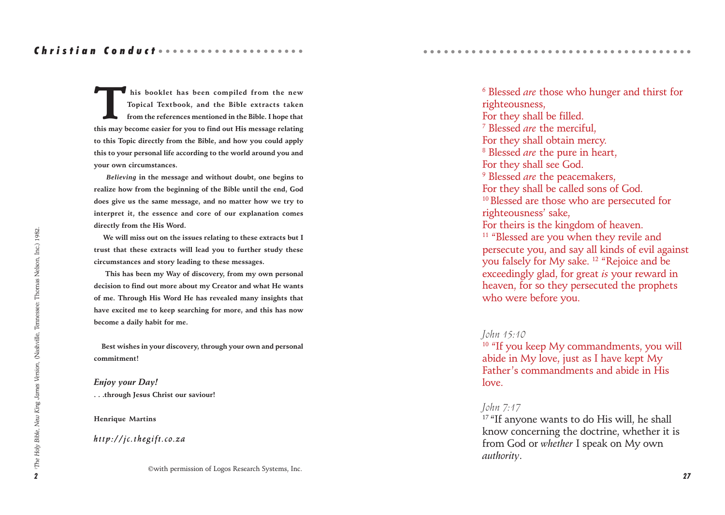**This booklet has been compiled from the new Topical Textbook, and the Bible extracts taken from the references mentioned in the Bible. I hope that this may become easier for you to find out His message relating to this Topic directly from the Bible, and how you could apply this to your personal life according to the world around you and your own circumstances.**

 *Believing* **in the message and without doubt, one begins to realize how from the beginning of the Bible until the end, God does give us the same message, and no matter how we try to interpret it, the essence and core of our explanation comes directly from the His Word.**

 **We will miss out on the issues relating to these extracts but I trust that these extracts will lead you to further study these circumstances and story leading to these messages.**

 **This has been my Way of discovery, from my own personal decision to find out more about my Creator and what He wants of me. Through His Word He has revealed many insights that have excited me to keep searching for more, and this has now become a daily habit for me.**

 **Best wishes in your discovery, through your own and personal commitment!**

*Enjoy your Day!* **. . .through Jesus Christ our saviour!**

#### **Henrique Martins**

#### *http://jc.thegift.co.za*

©with permission of Logos Research Systems, Inc.

6 Blessed *are* those who hunger and thirst for righteousness, For they shall be filled. 7 Blessed *are* the merciful, For they shall obtain mercy. 8 Blessed *are* the pure in heart, For they shall see God. 9 Blessed *are* the peacemakers, For they shall be called sons of God. <sup>10</sup> Blessed are those who are persecuted for righteousness' sake, For theirs is the kingdom of heaven. <sup>11</sup> "Blessed are you when they revile and persecute you, and say all kinds of evil against you falsely for My sake. 12 "Rejoice and be exceedingly glad, for great *is* your reward in heaven, for so they persecuted the prophets who were before you.

○○○○○○○○○○○○○○○○○○○○○○○○○○○○○○○○○○ ○○○○○

#### *John 15:10*

<sup>10</sup> "If you keep My commandments, you will abide in My love, just as I have kept My Father's commandments and abide in His love.

#### *John 7:17*

<sup>17</sup> "If anyone wants to do His will, he shall know concerning the doctrine, whether it is from God or *whether* I speak on My own *authority*.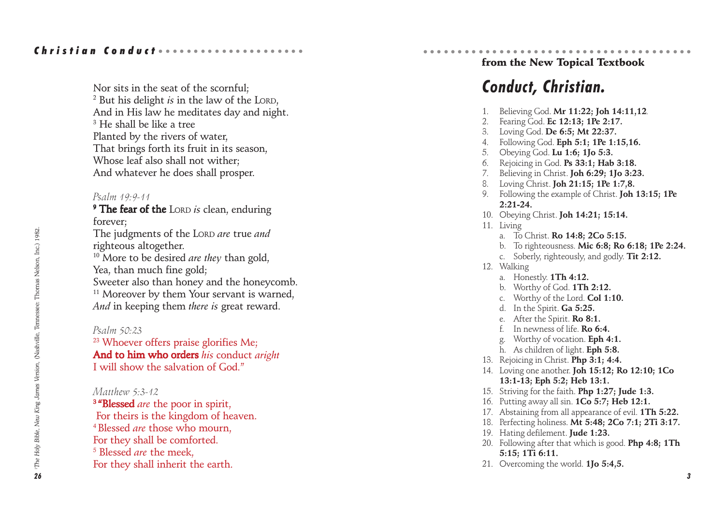Nor sits in the seat of the scornful; 2 But his delight *is* in the law of the LORD, And in His law he meditates day and night. 3 He shall be like a tree Planted by the rivers of water, That brings forth its fruit in its season, Whose leaf also shall not wither; And whatever he does shall prosper.

#### *Psalm 19:9-11*

<sup>9</sup> The fear of the Lord *is* clean, enduring forever;

The judgments of the LORD *are* true *and* righteous altogether. 10 More to be desired *are they* than gold,

Yea, than much fine gold; Sweeter also than honey and the honeycomb.  $11$  Moreover by them Your servant is warned, *And* in keeping them *there is* great reward.

#### *Psalm 50:23*

<sup>23</sup> Whoever offers praise glorifies Me; And to him who orders his conduct *aright* I will show the salvation of God."

#### *Matthew 5:3-12*

<sup>3</sup> **"Blessed** are the poor in spirit, For theirs is the kingdom of heaven. 4 Blessed *are* those who mourn, For they shall be comforted. 5 Blessed *are* the meek, For they shall inherit the earth.

#### ○○○○○○○○○○○○○○○○○○○○○○○○○○○○○○○○○○ ○○○○○ from the New Topical Textbook

## *Conduct, Christian.*

- 1. Believing God. **Mr 11:22; Joh 14:11,12***.*
- 2. Fearing God. **Ec 12:13; 1Pe 2:17.**
- 3. Loving God. **De 6:5; Mt 22:37.**
- 4. Following God. **Eph 5:1; 1Pe 1:15,16.**
- 5. Obeying God. **Lu 1:6; 1Jo 5:3.**
- 6. Rejoicing in God. **Ps 33:1; Hab 3:18.**
- 7. Believing in Christ. **Joh 6:29; 1Jo 3:23.**
- 8. Loving Christ. **Joh 21:15; 1Pe 1:7,8.**
- 9. Following the example of Christ. **Joh 13:15; 1Pe 2:21-24.**
- 10. Obeying Christ. **Joh 14:21; 15:14.**
- 11. Living
	- a. To Christ. **Ro 14:8; 2Co 5:15.**
	- b. To righteousness. **Mic 6:8; Ro 6:18; 1Pe 2:24.**
	- c. Soberly, righteously, and godly. **Tit 2:12.**
- 12. Walking
	- a. Honestly. **1Th 4:12.**
	- b. Worthy of God. **1Th 2:12.**
	- c. Worthy of the Lord. **Col 1:10.**
	- d. In the Spirit. **Ga 5:25.**
	- e. After the Spirit. **Ro 8:1.**
	- f. In newness of life. **Ro 6:4.**
	- g. Worthy of vocation. **Eph 4:1.**
	- h. As children of light. **Eph 5:8.**
- 13. Rejoicing in Christ. **Php 3:1; 4:4.**
- 14. Loving one another. **Joh 15:12; Ro 12:10; 1Co 13:1-13; Eph 5:2; Heb 13:1.**
- 15. Striving for the faith. **Php 1:27; Jude 1:3.**
- 16. Putting away all sin. **1Co 5:7; Heb 12:1.**
- 17. Abstaining from all appearance of evil. **1Th 5:22.**
- 18. Perfecting holiness. **Mt 5:48; 2Co 7:1; 2Ti 3:17.**
- 19. Hating defilement. **Jude 1:23.**
- 20. Following after that which is good. **Php 4:8; 1Th 5:15; 1Ti 6:11.**
- 21. Overcoming the world. **1Jo 5:4,5.**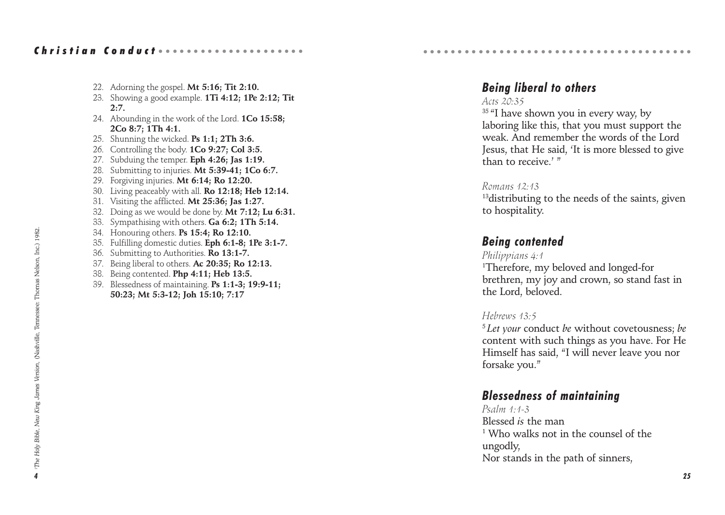## Christian Conductoonoonoonoonoo

- 22. Adorning the gospel. **Mt 5:16; Tit 2:10.**
- 23. Showing a good example. **1Ti 4:12; 1Pe 2:12; Tit 2:7.**
- 24. Abounding in the work of the Lord. **1Co 15:58; 2Co 8:7; 1Th 4:1.**
- 25. Shunning the wicked. **Ps 1:1; 2Th 3:6.**
- 26. Controlling the body. **1Co 9:27; Col 3:5.**
- 27. Subduing the temper. **Eph 4:26; Jas 1:19.**
- 28. Submitting to injuries. **Mt 5:39-41; 1Co 6:7.**
- 29. Forgiving injuries. **Mt 6:14; Ro 12:20.**
- 30. Living peaceably with all. **Ro 12:18; Heb 12:14.**
- 31. Visiting the afflicted. **Mt 25:36; Jas 1:27.**
- 32. Doing as we would be done by. **Mt 7:12; Lu 6:31.**
- 33. Sympathising with others. **Ga 6:2; 1Th 5:14.**
- 34. Honouring others. **Ps 15:4; Ro 12:10.**
- 35. Fulfilling domestic duties. **Eph 6:1-8; 1Pe 3:1-7.**
- 36. Submitting to Authorities. **Ro 13:1-7.**
- 37. Being liberal to others. **Ac 20:35; Ro 12:13.**
- 38. Being contented. **Php 4:11; Heb 13:5.**
- 39. Blessedness of maintaining. **Ps 1:1-3; 19:9-11; 50:23; Mt 5:3-12; Joh 15:10; 7:17**

## *Being liberal to others*

○○○○○○○○○○○○○○○○○○○○○○○○○○○○○○○○○○ ○○○○○

#### *Acts 20:35*

<sup>35</sup> "I have shown you in every way, by laboring like this, that you must support the weak. And remember the words of the Lord Jesus, that He said, 'It is more blessed to give than to receive.<sup>'</sup>

#### *Romans 12:13*

<sup>13</sup> distributing to the needs of the saints, given to hospitality.

## *Being contented*

#### *Philippians 4:1*

1 Therefore, my beloved and longed-for brethren, my joy and crown, so stand fast in the Lord, beloved.

#### *Hebrews 13:5*

<sup>5</sup>*Let your* conduct *be* without covetousness; *be* content with such things as you have. For He Himself has said, "I will never leave you nor forsake you."

## *Blessedness of maintaining*

*Psalm 1:1-3* Blessed *is* the man 1 Who walks not in the counsel of the ungodly, Nor stands in the path of sinners,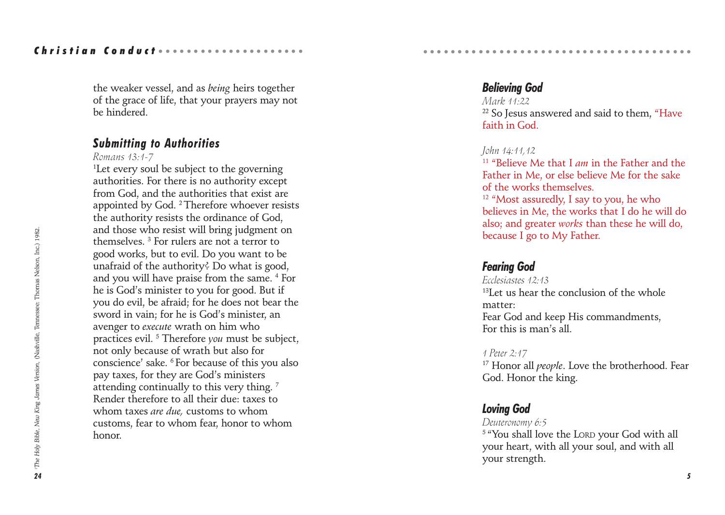the weaker vessel, and as *being* heirs together of the grace of life, that your prayers may not be hindered.

## *Submitting to Authorities*

*Romans 13:1-7*

1 Let every soul be subject to the governing authorities. For there is no authority except from God, and the authorities that exist are appointed by God. 2 Therefore whoever resists the authority resists the ordinance of God, and those who resist will bring judgment on themselves. 3 For rulers are not a terror to good works, but to evil. Do you want to be unafraid of the authority? Do what is good, and you will have praise from the same. 4 For he is God's minister to you for good. But if you do evil, be afraid; for he does not bear the sword in vain; for he is God's minister, an avenger to *execute* wrath on him who practices evil. 5 Therefore *you* must be subject, not only because of wrath but also for conscience' sake. 6 For because of this you also pay taxes, for they are God's ministers attending continually to this very thing.<sup>7</sup> Render therefore to all their due: taxes to whom taxes *are due,* customs to whom customs, fear to whom fear, honor to whom honor.

## *Believing God*

*Mark 11:22* <sup>22</sup> So Jesus answered and said to them, "Have faith in God.

○○○○○○○○○○○○○○○○○○○○○○○○○○○○○○○○○○ ○○○○○

#### *John 14:11,12*

11 "Believe Me that I *am* in the Father and the Father in Me, or else believe Me for the sake of the works themselves. <sup>12</sup> "Most assuredly, I say to you, he who

believes in Me, the works that I do he will do also; and greater *works* than these he will do, because I go to My Father.

## *Fearing God*

*Ecclesiastes 12:13* <sup>13</sup>Let us hear the conclusion of the whole matter: Fear God and keep His commandments, For this is man's all.

#### *1 Peter 2:17*

<sup>17</sup> Honor all *people*. Love the brotherhood. Fear God. Honor the king.

## *Loving God*

*Deuteronomy 6:5*

5 "You shall love the LORD your God with all your heart, with all your soul, and with all your strength.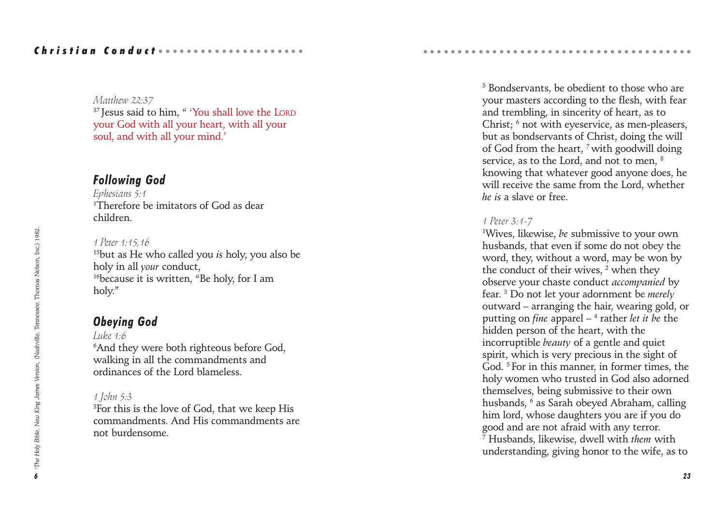#### *Matthew 22:37*

<sup>37</sup> Jesus said to him, " 'You shall love the LORD your God with all your heart, with all your soul, and with all your mind.'

## *Following God*

*Ephesians 5:1* 1 Therefore be imitators of God as dear children.

#### *1 Peter 1:15,16*

15but as He who called you *is* holy, you also be holy in all *your* conduct, <sup>16</sup>because it is written. "Be holy, for I am holy."

## *Obeying God*

*Luke 1:6*

6 And they were both righteous before God, walking in all the commandments and ordinances of the Lord blameless.

#### *1 John 5:3*

3 For this is the love of God, that we keep His commandments. And His commandments are not burdensome.

5 Bondservants, be obedient to those who are your masters according to the flesh, with fear and trembling, in sincerity of heart, as to Christ; <sup>6</sup> not with eyeservice, as men-pleasers, but as bondservants of Christ, doing the will of God from the heart, 7 with goodwill doing service, as to the Lord, and not to men, 8 knowing that whatever good anyone does, he will receive the same from the Lord, whether *he is* a slave or free.

○○○○○○○○○○○○○○○○○○○○○○○○○○○○○○○○○○ ○○○○○

#### *1 Peter 3:1-7*

1 Wives, likewise, *be* submissive to your own husbands, that even if some do not obey the word, they, without a word, may be won by the conduct of their wives, <sup>2</sup> when they observe your chaste conduct *accompanied* by fear. 3 Do not let your adornment be *merely* outward – arranging the hair, wearing gold, or putting on *fine* apparel – 4 rather *let it be* the hidden person of the heart, with the incorruptible *beauty* of a gentle and quiet spirit, which is very precious in the sight of God. 5 For in this manner, in former times, the holy women who trusted in God also adorned themselves, being submissive to their own husbands, 6 as Sarah obeyed Abraham, calling him lord, whose daughters you are if you do good and are not afraid with any terror. 7 Husbands, likewise, dwell with *them* with understanding, giving honor to the wife, as to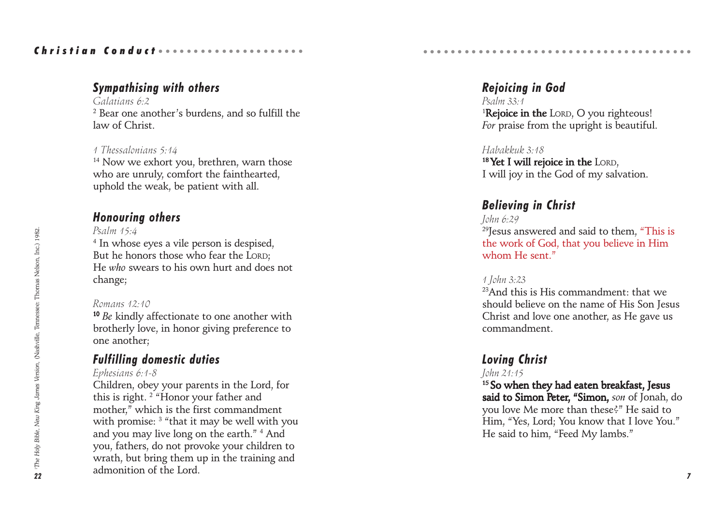## *Sympathising with others*

*Galatians 6:2*  $^{\rm 2}$  Bear one another's burdens, and so fulfill the law of Christ.

## *1 Thessalonians 5:14*

<sup>14</sup> Now we exhort you, brethren, warn those who are unruly, comfort the fainthearted, uphold the weak, be patient with all.

## *Honouring others*

*Psalm 15:4*

4 In whose eyes a vile person is despised, But he honors those who fear the LORD: He *who* swears to his own hurt and does not change;

## *Romans 12:10*

<sup>10</sup> *Be* kindly affectionate to one another with brotherly love, in honor giving preference to one another;

## *Fulfilling domestic duties*

## *Ephesians 6:1-8*

Children, obey your parents in the Lord, for this is right. 2 "Honor your father and mother," which is the first commandment with promise: 3 "that it may be well with you and you may live long on the earth." 4 And you, fathers, do not provoke your children to wrath, but bring them up in the training and admonition of the Lord.

*Rejoicing in God Psalm 33:1* <sup>1</sup>Rejoice in the LORD, O you righteous! *For* praise from the upright is beautiful.

○○○○○○○○○○○○○○○○○○○○○○○○○○○○○○○○○○ ○○○○○

## *Habakkuk 3:18*

 $18$  Yet I will rejoice in the LORD, I will joy in the God of my salvation.

## *Believing in Christ*

*John 6:29*  $29$ Jesus answered and said to them, "This is the work of God, that you believe in Him whom He sent."

## *1 John 3:23*

<sup>23</sup>And this is His commandment: that we should believe on the name of His Son Jesus Christ and love one another, as He gave us commandment.

## *Loving Christ*

## *John 21:15*

<sup>15</sup> So when they had eaten breakfast, Jesus said to Simon Peter, "Simon, son of Jonah, do you love Me more than these?" He said to Him, "Yes, Lord; You know that I love You." He said to him, "Feed My lambs."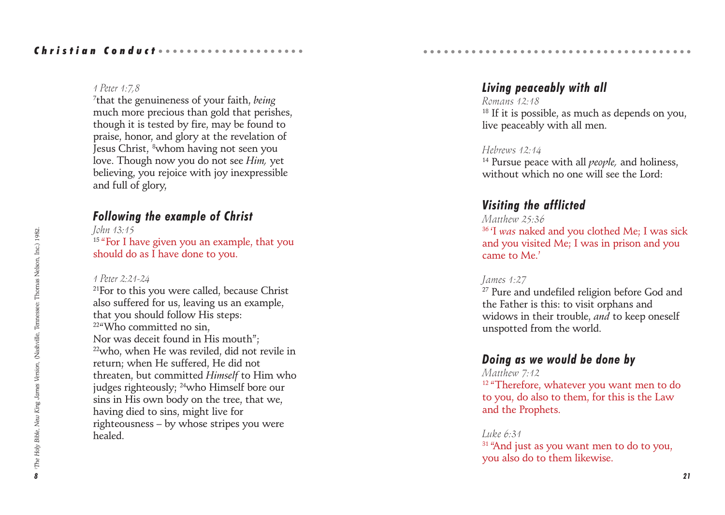#### *1 Peter 1:7,8*

7 that the genuineness of your faith, *being* much more precious than gold that perishes, though it is tested by fire, may be found to praise, honor, and glory at the revelation of Jesus Christ, 8whom having not seen you love. Though now you do not see *Him,* yet believing, you rejoice with joy inexpressible and full of glory,

## *Following the example of Christ*

*John 13:15* <sup>15</sup> "For I have given you an example, that you should do as I have done to you.

#### *1 Peter 2:21-24*

<sup>21</sup>For to this you were called, because Christ also suffered for us, leaving us an example, that you should follow His steps: <sup>22</sup>"Who committed no sin. Nor was deceit found in His mouth"; 22who, when He was reviled, did not revile in return; when He suffered, He did not threaten, but committed *Himself* to Him who judges righteously; 24who Himself bore our sins in His own body on the tree, that we, having died to sins, might live for righteousness – by whose stripes you were healed.

## *Living peaceably with all*

○○○○○○○○○○○○○○○○○○○○○○○○○○○○○○○○○○ ○○○○○

*Romans 12:18*  $18$  If it is possible, as much as depends on you, live peaceably with all men.

#### *Hebrews 12:14*

14 Pursue peace with all *people,* and holiness, without which no one will see the Lord:

## *Visiting the afflicted*

#### *Matthew 25:36*

36 'I *was* naked and you clothed Me; I was sick and you visited Me; I was in prison and you came to Me.'

#### *James 1:27*

<sup>27</sup> Pure and undefiled religion before God and the Father is this: to visit orphans and widows in their trouble, *and* to keep oneself unspotted from the world.

## *Doing as we would be done by*

## *Matthew 7:12*

<sup>12</sup> "Therefore, whatever you want men to do to you, do also to them, for this is the Law and the Prophets.

#### *Luke 6:31*

<sup>31</sup> "And just as you want men to do to you, you also do to them likewise.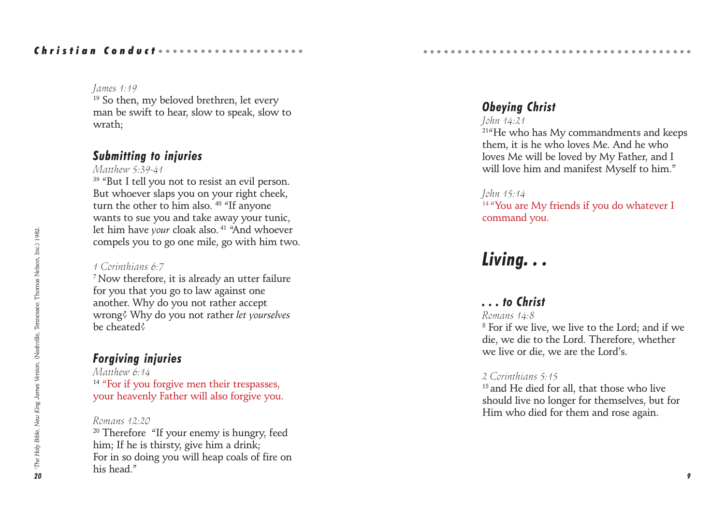## Christian Conduct ................

#### *James 1:19*

<sup>19</sup> So then, my beloved brethren, let every man be swift to hear, slow to speak, slow to wrath;

## *Submitting to injuries*

*Matthew 5:39-41*

<sup>39</sup> "But I tell you not to resist an evil person. But whoever slaps you on your right cheek, turn the other to him also. 40 "If anyone wants to sue you and take away your tunic, let him have *your* cloak also. 41 "And whoever compels you to go one mile, go with him two.

#### *1 Corinthians 6:7*

7 Now therefore, it is already an utter failure for you that you go to law against one another. Why do you not rather accept wrong? Why do you not rather *let yourselves* be cheated?

## *Forgiving injuries*

*Matthew 6:14* <sup>14</sup> "For if you forgive men their trespasses, your heavenly Father will also forgive you.

## *Romans 12:20*

 $20$  Therefore "If your enemy is hungry, feed him; If he is thirsty, give him a drink; For in so doing you will heap coals of fire on his head."

## *Obeying Christ*

#### *John 14:21*

<sup>21</sup><sup>4</sup>He who has My commandments and keeps them, it is he who loves Me. And he who loves Me will be loved by My Father, and I will love him and manifest Myself to him."

○○○○○○○○○○○○○○○○○○○○○○○○○○○○○○○○○○ ○○○○○

#### *John 15:14*

<sup>14 "</sup>You are My friends if you do whatever I command you.

# *Living. . .*

## *. . . to Christ*

#### *Romans 14:8*

8 For if we live, we live to the Lord; and if we die, we die to the Lord. Therefore, whether we live or die, we are the Lord's.

#### *2 Corinthians 5:15*

<sup>15</sup> and He died for all, that those who live should live no longer for themselves, but for Him who died for them and rose again.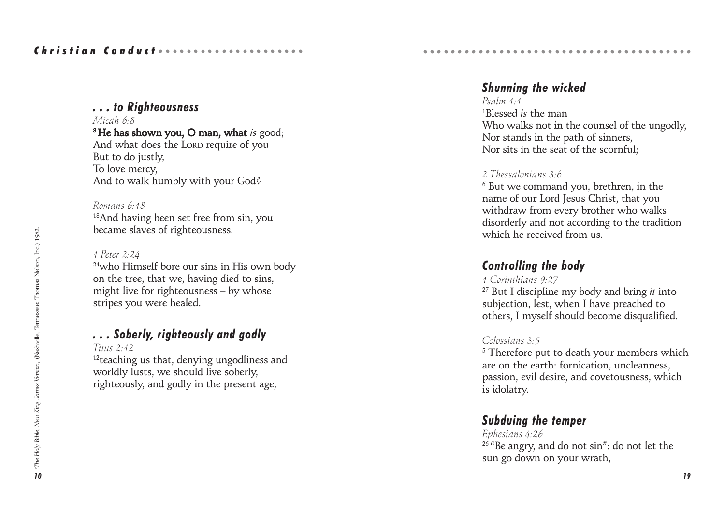#### *. . . to Righteousness Micah 6:8*

<sup>8</sup> He has shown you. O man, what *is* good; And what does the LORD require of you But to do justly, To love mercy, And to walk humbly with your God?

*Romans 6:18* 18And having been set free from sin, you became slaves of righteousness.

#### *1 Peter 2:24*

<sup>24</sup>who Himself bore our sins in His own body on the tree, that we, having died to sins, might live for righteousness – by whose stripes you were healed.

## *. . . Soberly, righteously and godly*

*Titus 2:12*

<sup>12</sup>teaching us that, denying ungodliness and worldly lusts, we should live soberly, righteously, and godly in the present age,

## *Shunning the wicked*

○○○○○○○○○○○○○○○○○○○○○○○○○○○○○○○○○○ ○○○○○

*Psalm 1:1* 1 Blessed *is* the man Who walks not in the counsel of the ungodly, Nor stands in the path of sinners, Nor sits in the seat of the scornful;

#### *2 Thessalonians 3:6*

 $^6$  But we command you, brethren, in the name of our Lord Jesus Christ, that you withdraw from every brother who walks disorderly and not according to the tradition which he received from us.

## *Controlling the body*

## *1 Corinthians 9:27*

27 But I discipline my body and bring *it* into subjection, lest, when I have preached to others, I myself should become disqualified.

## *Colossians 3:5*

5 Therefore put to death your members which are on the earth: fornication, uncleanness, passion, evil desire, and covetousness, which is idolatry.

## *Subduing the temper*

*Ephesians 4:26*  $26$  "Be angry, and do not sin": do not let the sun go down on your wrath,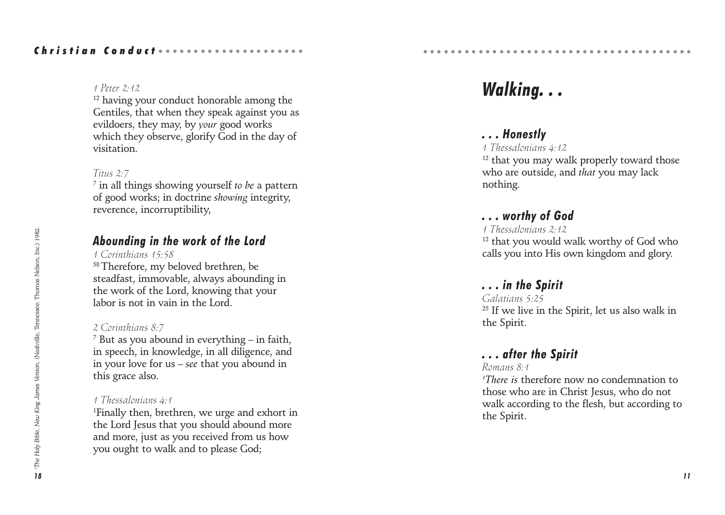#### *1 Peter 2:12*

<sup>12</sup> having your conduct honorable among the Gentiles, that when they speak against you as evildoers, they may, by *your* good works which they observe, glorify God in the day of visitation.

#### *Titus 2:7*

7 in all things showing yourself *to be* a pattern of good works; in doctrine *showing* integrity, reverence, incorruptibility,

## *Abounding in the work of the Lord*

*1 Corinthians 15:58*

58 Therefore, my beloved brethren, be steadfast, immovable, always abounding in the work of the Lord, knowing that your labor is not in vain in the Lord.

#### *2 Corinthians 8:7*

 $^7$  But as you abound in everything – in faith, in speech, in knowledge, in all diligence, and in your love for us – *see* that you abound in this grace also.

#### *1 Thessalonians 4:1*

1 Finally then, brethren, we urge and exhort in the Lord Jesus that you should abound more and more, just as you received from us how you ought to walk and to please God;

# *Walking. . .*

○○○○○○○○○○○○○○○○○○○○○○○○○○○○○○○○○○ ○○○○○

## *. . . Honestly*

*1 Thessalonians 4:12*

<sup>12</sup> that you may walk properly toward those who are outside, and *that* you may lack nothing.

## *. . . worthy of God*

*1 Thessalonians 2:12*

<sup>12</sup> that you would walk worthy of God who calls you into His own kingdom and glory.

## *. . . in the Spirit*

*Galatians 5:25* <sup>25</sup> If we live in the Spirit, let us also walk in the Spirit.

## *. . . after the Spirit*

#### *Romans 8:1*

*1 There is* therefore now no condemnation to those who are in Christ Jesus, who do not walk according to the flesh, but according to the Spirit.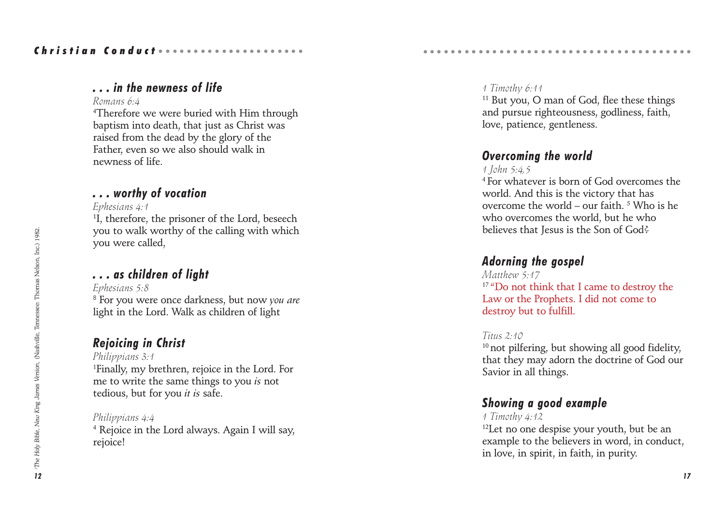## *. . . in the newness of life*

#### *Romans 6:4*

4 Therefore we were buried with Him through baptism into death, that just as Christ was raised from the dead by the glory of the Father, even so we also should walk in newness of life.

## *. . . worthy of vocation*

#### *Ephesians 4:1*

1 I, therefore, the prisoner of the Lord, beseech you to walk worthy of the calling with which you were called,

## *. . . as children of light*

*Ephesians 5:8* 8 For you were once darkness, but now *you are* light in the Lord. Walk as children of light

## *Rejoicing in Christ*

*Philippians 3:1* 1 Finally, my brethren, rejoice in the Lord. For me to write the same things to you *is* not tedious, but for you *it is* safe.

*Philippians 4:4* 4 Rejoice in the Lord always. Again I will say, rejoice!

#### *1 Timothy 6:11*

<sup>11</sup> But you, O man of God, flee these things and pursue righteousness, godliness, faith, love, patience, gentleness.

○○○○○○○○○○○○○○○○○○○○○○○○○○○○○○○○○○ ○○○○○

## *Overcoming the world*

## *1 John 5:4,5*

4 For whatever is born of God overcomes the world. And this is the victory that has overcome the world – our faith.  $5$  Who is he who overcomes the world, but he who believes that Jesus is the Son of God?

## *Adorning the gospel*

*Matthew 5:17* <sup>17</sup> "Do not think that I came to destroy the Law or the Prophets. I did not come to destroy but to fulfill.

## *Titus 2:10*

 $10$  not pilfering, but showing all good fidelity. that they may adorn the doctrine of God our Savior in all things.

## *Showing a good example*

*1 Timothy 4:12* <sup>12</sup>Let no one despise your youth, but be an example to the believers in word, in conduct, in love, in spirit, in faith, in purity.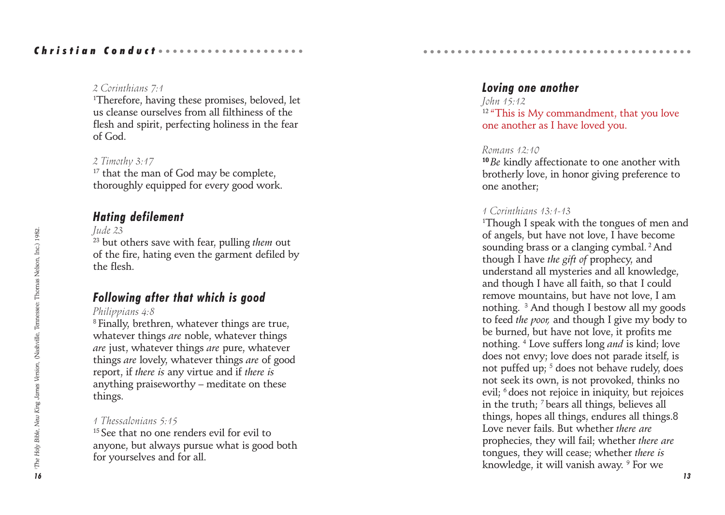#### *2 Corinthians 7:1*

1 Therefore, having these promises, beloved, let us cleanse ourselves from all filthiness of the flesh and spirit, perfecting holiness in the fear of God.

## *2 Timothy 3:17*

<sup>17</sup> that the man of God may be complete, thoroughly equipped for every good work.

## *Hating defilement*

#### *Jude 23*

23 but others save with fear, pulling *them* out of the fire, hating even the garment defiled by the flesh.

## *Following after that which is good*

#### *Philippians 4:8*

<sup>8</sup> Finally, brethren, whatever things are true, whatever things *are* noble, whatever things *are* just, whatever things *are* pure, whatever things *are* lovely, whatever things *are* of good report, if *there is* any virtue and if *there is* anything praiseworthy – meditate on these things.

## *1 Thessalonians 5:15*

<sup>15</sup> See that no one renders evil for evil to anyone, but always pursue what is good both for yourselves and for all.

## *Loving one another*

○○○○○○○○○○○○○○○○○○○○○○○○○○○○○○○○○○ ○○○○○

*John 15:12* <sup>12</sup> "This is My commandment, that you love one another as I have loved you.

#### *Romans 12:10*

<sup>10</sup>*Be* kindly affectionate to one another with brotherly love, in honor giving preference to one another;

## *1 Corinthians 13:1-13*

1 Though I speak with the tongues of men and of angels, but have not love, I have become sounding brass or a clanging cymbal.<sup>2</sup> And though I have *the gift of* prophecy, and understand all mysteries and all knowledge, and though I have all faith, so that I could remove mountains, but have not love, I am nothing. 3 And though I bestow all my goods to feed *the poor,* and though I give my body to be burned, but have not love, it profits me nothing. 4 Love suffers long *and* is kind; love does not envy; love does not parade itself, is not puffed up; <sup>5</sup> does not behave rudely, does not seek its own, is not provoked, thinks no evil; 6 does not rejoice in iniquity, but rejoices in the truth; 7 bears all things, believes all things, hopes all things, endures all things.8 Love never fails. But whether *there are* prophecies, they will fail; whether *there are* tongues, they will cease; whether *there is* knowledge, it will vanish away. <sup>9</sup> For we